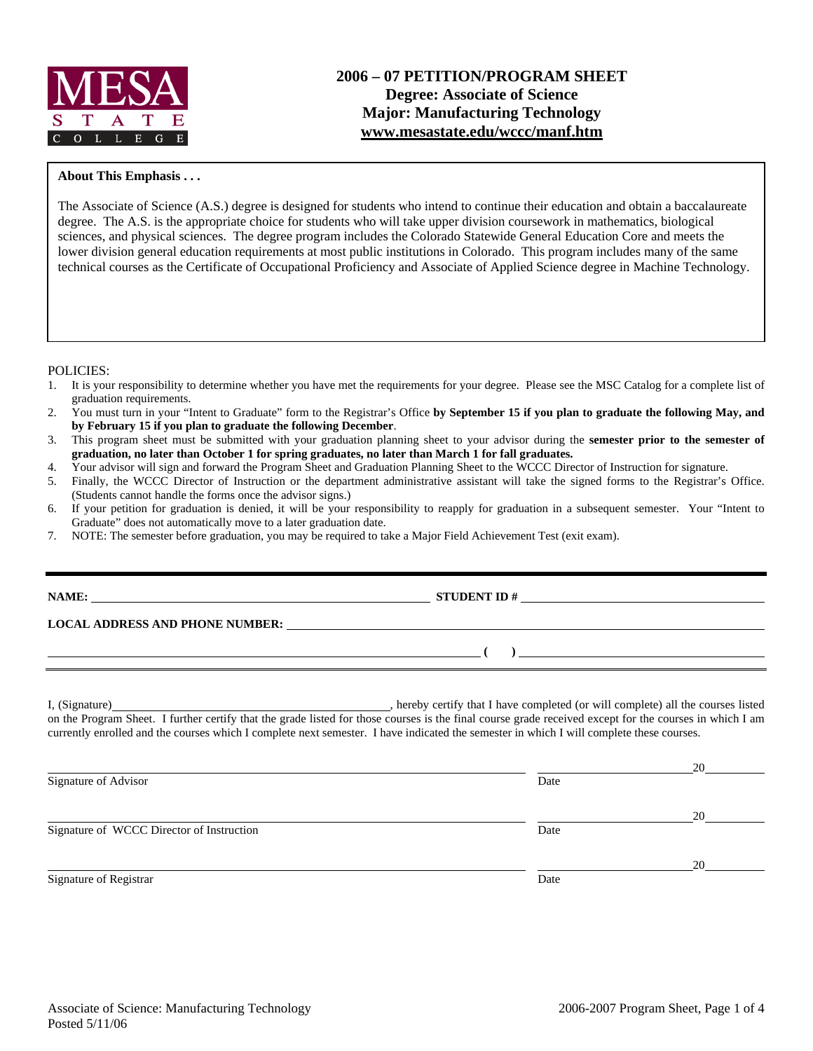

## **About This Emphasis . . .**

The Associate of Science (A.S.) degree is designed for students who intend to continue their education and obtain a baccalaureate degree. The A.S. is the appropriate choice for students who will take upper division coursework in mathematics, biological sciences, and physical sciences. The degree program includes the Colorado Statewide General Education Core and meets the lower division general education requirements at most public institutions in Colorado. This program includes many of the same technical courses as the Certificate of Occupational Proficiency and Associate of Applied Science degree in Machine Technology.

#### POLICIES:

- 1. It is your responsibility to determine whether you have met the requirements for your degree. Please see the MSC Catalog for a complete list of graduation requirements.
- 2. You must turn in your "Intent to Graduate" form to the Registrar's Office **by September 15 if you plan to graduate the following May, and by February 15 if you plan to graduate the following December**.
- 3. This program sheet must be submitted with your graduation planning sheet to your advisor during the **semester prior to the semester of graduation, no later than October 1 for spring graduates, no later than March 1 for fall graduates.**
- 4. Your advisor will sign and forward the Program Sheet and Graduation Planning Sheet to the WCCC Director of Instruction for signature.
- 5. Finally, the WCCC Director of Instruction or the department administrative assistant will take the signed forms to the Registrar's Office. (Students cannot handle the forms once the advisor signs.)
- 6. If your petition for graduation is denied, it will be your responsibility to reapply for graduation in a subsequent semester. Your "Intent to Graduate" does not automatically move to a later graduation date.
- 7. NOTE: The semester before graduation, you may be required to take a Major Field Achievement Test (exit exam).

| LOCAL ADDRESS AND PHONE NUMBER: University of the contract of the contract of the contract of the contract of the contract of the contract of the contract of the contract of the contract of the contract of the contract of |                                                                                                                                                                                                                                 |  |
|-------------------------------------------------------------------------------------------------------------------------------------------------------------------------------------------------------------------------------|---------------------------------------------------------------------------------------------------------------------------------------------------------------------------------------------------------------------------------|--|
|                                                                                                                                                                                                                               | о производство в применении с производство в собстании с производство в собстании с производство в собстании с<br>В собстании с производство в собстании с производство в собстании с производство в собстании с производство и |  |
|                                                                                                                                                                                                                               |                                                                                                                                                                                                                                 |  |
|                                                                                                                                                                                                                               | on the Program Sheet. I further certify that the grade listed for those courses is the final course grade received except for the courses in which I am                                                                         |  |
|                                                                                                                                                                                                                               | currently enrolled and the courses which I complete next semester. I have indicated the semester in which I will complete these courses.                                                                                        |  |

|                                           |      | 20 |
|-------------------------------------------|------|----|
| Signature of Advisor                      | Date |    |
|                                           |      | 20 |
| Signature of WCCC Director of Instruction | Date |    |
|                                           |      | 20 |
| Signature of Registrar                    | Date |    |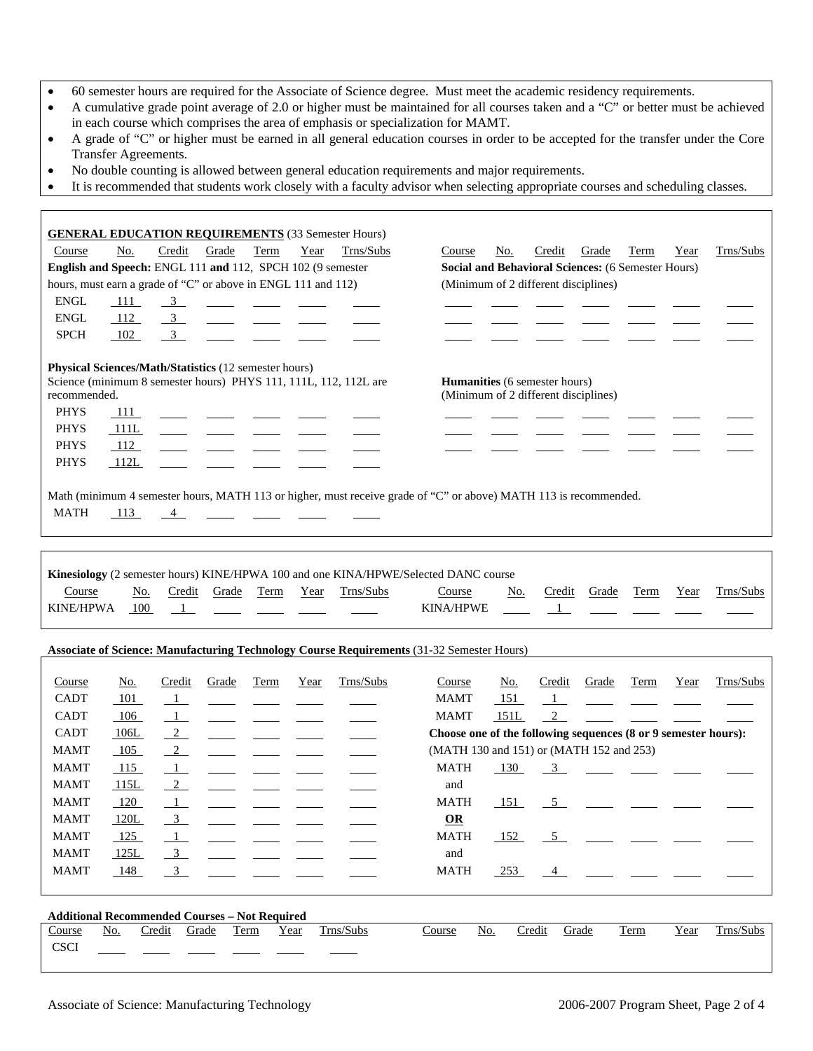- 60 semester hours are required for the Associate of Science degree. Must meet the academic residency requirements.
- A cumulative grade point average of 2.0 or higher must be maintained for all courses taken and a "C" or better must be achieved in each course which comprises the area of emphasis or specialization for MAMT.
- A grade of "C" or higher must be earned in all general education courses in order to be accepted for the transfer under the Core Transfer Agreements.
- No double counting is allowed between general education requirements and major requirements.
- It is recommended that students work closely with a faculty advisor when selecting appropriate courses and scheduling classes.

| <b>GENERAL EDUCATION REQUIREMENTS</b> (33 Semester Hours)                                                                                                                                                                                                                                                                                                                                                                                                                                                                                                                                                                                                                                   |                                                                |  |  |  |
|---------------------------------------------------------------------------------------------------------------------------------------------------------------------------------------------------------------------------------------------------------------------------------------------------------------------------------------------------------------------------------------------------------------------------------------------------------------------------------------------------------------------------------------------------------------------------------------------------------------------------------------------------------------------------------------------|----------------------------------------------------------------|--|--|--|
| Year<br>Trns/Subs<br>Course<br>No.<br>Credit<br>Grade<br>Term                                                                                                                                                                                                                                                                                                                                                                                                                                                                                                                                                                                                                               | Credit<br>Term<br>Trns/Subs<br>Course<br>No.<br>Grade<br>Year  |  |  |  |
| English and Speech: ENGL 111 and 112, SPCH 102 (9 semester                                                                                                                                                                                                                                                                                                                                                                                                                                                                                                                                                                                                                                  | Social and Behavioral Sciences: (6 Semester Hours)             |  |  |  |
| hours, must earn a grade of "C" or above in ENGL 111 and 112)                                                                                                                                                                                                                                                                                                                                                                                                                                                                                                                                                                                                                               | (Minimum of 2 different disciplines)                           |  |  |  |
| <b>ENGL</b><br>111<br>$\frac{3}{2}$                                                                                                                                                                                                                                                                                                                                                                                                                                                                                                                                                                                                                                                         |                                                                |  |  |  |
| <b>ENGL</b><br>$\frac{3}{2}$<br>112                                                                                                                                                                                                                                                                                                                                                                                                                                                                                                                                                                                                                                                         |                                                                |  |  |  |
| 3 <sup>7</sup><br><b>SPCH</b><br>102                                                                                                                                                                                                                                                                                                                                                                                                                                                                                                                                                                                                                                                        |                                                                |  |  |  |
| Physical Sciences/Math/Statistics (12 semester hours)<br>Science (minimum 8 semester hours) PHYS 111, 111L, 112, 112L are<br>Humanities (6 semester hours)<br>(Minimum of 2 different disciplines)<br>recommended.<br><b>PHYS</b><br>-111<br><b>PHYS</b><br>111L<br><b>PHYS</b><br>112<br>PHYS<br>112L<br>Math (minimum 4 semester hours, MATH 113 or higher, must receive grade of "C" or above) MATH 113 is recommended.<br><b>MATH</b><br>113<br>$\overline{4}$<br>Kinesiology (2 semester hours) KINE/HPWA 100 and one KINA/HPWE/Selected DANC course<br>Course<br>Credit<br>Grade<br>Term<br>Year<br>Trns/Subs<br>Trns/Subs<br>No.<br>Course<br>No.<br>Credit<br>Grade<br>Term<br>Year |                                                                |  |  |  |
| <b>KINE/HPWA</b><br>100<br>$\mathbf{1}$                                                                                                                                                                                                                                                                                                                                                                                                                                                                                                                                                                                                                                                     | <b>KINA/HPWE</b><br>$\overline{\phantom{a}1}$                  |  |  |  |
| <b>Associate of Science: Manufacturing Technology Course Requirements (31-32 Semester Hours)</b>                                                                                                                                                                                                                                                                                                                                                                                                                                                                                                                                                                                            |                                                                |  |  |  |
| Trns/Subs<br>Credit<br>Grade<br><b>Term</b><br>Year<br>Course<br>No.                                                                                                                                                                                                                                                                                                                                                                                                                                                                                                                                                                                                                        | Trns/Subs<br>Course<br>No.<br>Credit<br>Grade<br>Term<br>Year  |  |  |  |
| <b>CADT</b><br>101<br>$\overline{1}$                                                                                                                                                                                                                                                                                                                                                                                                                                                                                                                                                                                                                                                        | <b>MAMT</b><br>151<br>$\perp$<br>$\sim$ 100 $\sim$             |  |  |  |
| <b>CADT</b><br>106<br>$\perp$                                                                                                                                                                                                                                                                                                                                                                                                                                                                                                                                                                                                                                                               | $\overline{2}$<br><b>MAMT</b><br>151L                          |  |  |  |
| $\overline{2}$<br><b>CADT</b><br>106L                                                                                                                                                                                                                                                                                                                                                                                                                                                                                                                                                                                                                                                       | Choose one of the following sequences (8 or 9 semester hours): |  |  |  |
| $\overline{2}$<br><b>MAMT</b><br>105                                                                                                                                                                                                                                                                                                                                                                                                                                                                                                                                                                                                                                                        | (MATH 130 and 151) or (MATH 152 and 253)                       |  |  |  |
| <b>MAMT</b><br>$\overline{1}$<br>115                                                                                                                                                                                                                                                                                                                                                                                                                                                                                                                                                                                                                                                        | <b>MATH</b><br>130<br>$\frac{3}{2}$                            |  |  |  |
| <b>MAMT</b><br>$\overline{2}$<br>115L                                                                                                                                                                                                                                                                                                                                                                                                                                                                                                                                                                                                                                                       | and                                                            |  |  |  |
|                                                                                                                                                                                                                                                                                                                                                                                                                                                                                                                                                                                                                                                                                             | <b>MATH</b><br>151<br>5 <sup>5</sup>                           |  |  |  |
|                                                                                                                                                                                                                                                                                                                                                                                                                                                                                                                                                                                                                                                                                             |                                                                |  |  |  |
| <b>MAMT</b><br>120<br>$\overline{1}$                                                                                                                                                                                                                                                                                                                                                                                                                                                                                                                                                                                                                                                        |                                                                |  |  |  |
| 120L<br>$\overline{3}$<br><b>MAMT</b>                                                                                                                                                                                                                                                                                                                                                                                                                                                                                                                                                                                                                                                       | $\Omega$                                                       |  |  |  |
| <b>MAMT</b><br>125<br>-1                                                                                                                                                                                                                                                                                                                                                                                                                                                                                                                                                                                                                                                                    | MATH<br>152<br>5                                               |  |  |  |
| <b>MAMT</b><br>125L<br>$\overline{3}$                                                                                                                                                                                                                                                                                                                                                                                                                                                                                                                                                                                                                                                       | and                                                            |  |  |  |
| <b>MAMT</b><br>148<br>$\frac{3}{2}$                                                                                                                                                                                                                                                                                                                                                                                                                                                                                                                                                                                                                                                         | <b>MATH</b><br>$-253$<br>4                                     |  |  |  |
| <b>Additional Recommended Courses - Not Required</b>                                                                                                                                                                                                                                                                                                                                                                                                                                                                                                                                                                                                                                        |                                                                |  |  |  |
| Credit<br>Term<br>Trns/Subs<br>Course<br><u>No.</u><br>Grade<br>Year                                                                                                                                                                                                                                                                                                                                                                                                                                                                                                                                                                                                                        | Credit<br>Grade<br>Trns/Subs<br>Course<br>No.<br>Term<br>Year  |  |  |  |
| <b>CSCI</b>                                                                                                                                                                                                                                                                                                                                                                                                                                                                                                                                                                                                                                                                                 |                                                                |  |  |  |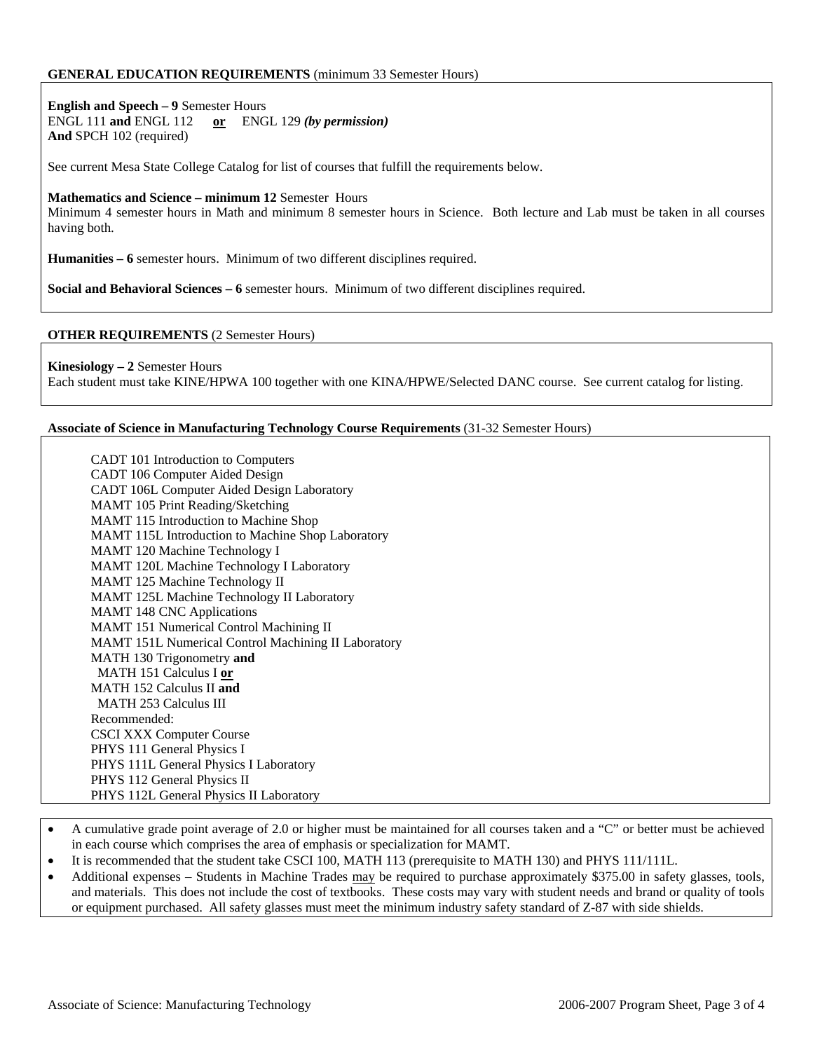### **GENERAL EDUCATION REQUIREMENTS** (minimum 33 Semester Hours)

**English and Speech – 9** Semester Hours ENGL 111 **and** ENGL 112 **or** ENGL 129 *(by permission)* **And** SPCH 102 (required)

See current Mesa State College Catalog for list of courses that fulfill the requirements below.

#### **Mathematics and Science – minimum 12** Semester Hours

Minimum 4 semester hours in Math and minimum 8 semester hours in Science. Both lecture and Lab must be taken in all courses having both.

**Humanities – 6** semester hours. Minimum of two different disciplines required.

**Social and Behavioral Sciences – 6** semester hours. Minimum of two different disciplines required.

### **OTHER REQUIREMENTS** (2 Semester Hours)

**Kinesiology – 2** Semester Hours Each student must take KINE/HPWA 100 together with one KINA/HPWE/Selected DANC course. See current catalog for listing.

#### **Associate of Science in Manufacturing Technology Course Requirements** (31-32 Semester Hours)

| CADT 101 Introduction to Computers                       |  |
|----------------------------------------------------------|--|
| CADT 106 Computer Aided Design                           |  |
| CADT 106L Computer Aided Design Laboratory               |  |
| MAMT 105 Print Reading/Sketching                         |  |
| MAMT 115 Introduction to Machine Shop                    |  |
| <b>MAMT</b> 115L Introduction to Machine Shop Laboratory |  |
| <b>MAMT 120 Machine Technology I</b>                     |  |
| MAMT 120L Machine Technology I Laboratory                |  |
| MAMT 125 Machine Technology II                           |  |
| MAMT 125L Machine Technology II Laboratory               |  |
| <b>MAMT 148 CNC Applications</b>                         |  |
| MAMT 151 Numerical Control Machining II                  |  |
| MAMT 151L Numerical Control Machining II Laboratory      |  |
| MATH 130 Trigonometry and                                |  |
| MATH 151 Calculus I or                                   |  |
| MATH 152 Calculus II and                                 |  |
| <b>MATH 253 Calculus III</b>                             |  |
| Recommended:                                             |  |
| <b>CSCI XXX Computer Course</b>                          |  |
| PHYS 111 General Physics I                               |  |
| PHYS 111L General Physics I Laboratory                   |  |
| PHYS 112 General Physics II                              |  |
| PHYS 112L General Physics II Laboratory                  |  |

- A cumulative grade point average of 2.0 or higher must be maintained for all courses taken and a "C" or better must be achieved in each course which comprises the area of emphasis or specialization for MAMT.
- It is recommended that the student take CSCI 100, MATH 113 (prerequisite to MATH 130) and PHYS 111/111L.
- Additional expenses Students in Machine Trades may be required to purchase approximately \$375.00 in safety glasses, tools, and materials. This does not include the cost of textbooks. These costs may vary with student needs and brand or quality of tools or equipment purchased. All safety glasses must meet the minimum industry safety standard of Z-87 with side shields.